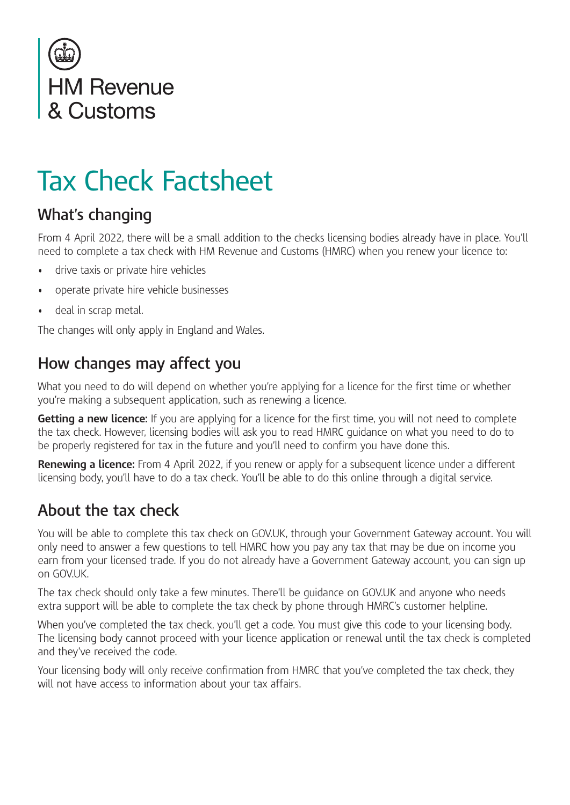

# Tax Check Factsheet

### **What's changing**

From 4 April 2022, there will be a small addition to the checks licensing bodies already have in place. You'll need to complete a tax check with HM Revenue and Customs (HMRC) when you renew your licence to:

- drive taxis or private hire vehicles
- operate private hire vehicle businesses
- deal in scrap metal.

The changes will only apply in England and Wales.

#### **How changes may affect you**

What you need to do will depend on whether you're applying for a licence for the first time or whether you're making a subsequent application, such as renewing a licence.

**Getting a new licence:** If you are applying for a licence for the first time, you will not need to complete the tax check. However, licensing bodies will ask you to read HMRC guidance on what you need to do to be properly registered for tax in the future and you'll need to confirm you have done this.

**Renewing a licence:** From 4 April 2022, if you renew or apply for a subsequent licence under a different licensing body, you'll have to do a tax check. You'll be able to do this online through a digital service.

#### **About the tax check**

You will be able to complete this tax check on GOV.UK, through your Government Gateway account. You will only need to answer a few questions to tell HMRC how you pay any tax that may be due on income you earn from your licensed trade. If you do not already have a Government Gateway account, you can sign up on GOV.UK.

The tax check should only take a few minutes. There'll be guidance on GOV.UK and anyone who needs extra support will be able to complete the tax check by phone through HMRC's customer helpline.

When you've completed the tax check, you'll get a code. You must give this code to your licensing body. The licensing body cannot proceed with your licence application or renewal until the tax check is completed and they've received the code.

Your licensing body will only receive confirmation from HMRC that you've completed the tax check, they will not have access to information about your tax affairs.